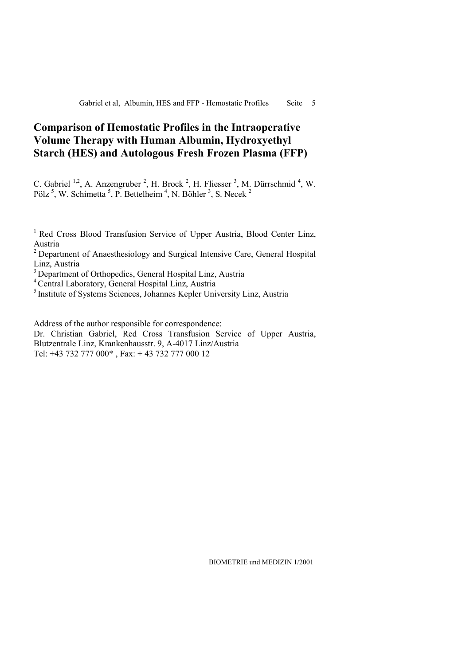## **Comparison of Hemostatic Profiles in the Intraoperative Volume Therapy with Human Albumin, Hydroxyethyl Starch (HES) and Autologous Fresh Frozen Plasma (FFP)**

C. Gabriel  $^{1,2}$ , A. Anzengruber  $^2$ , H. Brock  $^2$ , H. Fliesser  $^3$ , M. Dürrschmid  $^4$ , W. Pölz<sup>5</sup>, W. Schimetta<sup>5</sup>, P. Bettelheim<sup>4</sup>, N. Böhler<sup>3</sup>, S. Necek<sup>2</sup>

<sup>1</sup> Red Cross Blood Transfusion Service of Upper Austria, Blood Center Linz, Austria

2 Department of Anaesthesiology and Surgical Intensive Care, General Hospital Linz, Austria

<sup>3</sup> Department of Orthopedics, General Hospital Linz, Austria

4 Central Laboratory, General Hospital Linz, Austria

5 Institute of Systems Sciences, Johannes Kepler University Linz, Austria

Address of the author responsible for correspondence:

Dr. Christian Gabriel, Red Cross Transfusion Service of Upper Austria, Blutzentrale Linz, Krankenhausstr. 9, A-4017 Linz/Austria Tel: +43 732 777 000\* , Fax: + 43 732 777 000 12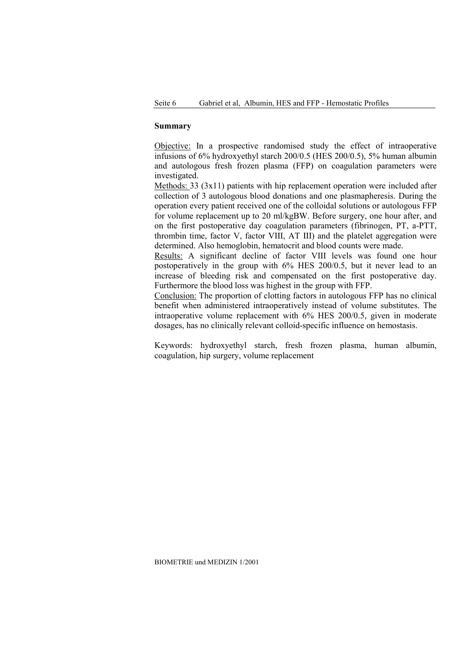### **Summary**

Objective: In a prospective randomised study the effect of intraoperative infusions of 6% hydroxyethyl starch 200/0.5 (HES 200/0.5), 5% human albumin and autologous fresh frozen plasma (FFP) on coagulation parameters were investigated.

Methods: 33 (3x11) patients with hip replacement operation were included after collection of 3 autologous blood donations and one plasmapheresis. During the operation every patient received one of the colloidal solutions or autologous FFP for volume replacement up to 20 ml/kgBW. Before surgery, one hour after, and on the first postoperative day coagulation parameters (fibrinogen, PT, a-PTT, thrombin time, factor V, factor VIII, AT III) and the platelet aggregation were determined. Also hemoglobin, hematocrit and blood counts were made.

Results: A significant decline of factor VIII levels was found one hour postoperatively in the group with 6% HES 200/0.5, but it never lead to an increase of bleeding risk and compensated on the first postoperative day. Furthermore the blood loss was highest in the group with FFP.

Conclusion: The proportion of clotting factors in autologous FFP has no clinical benefit when administered intraoperatively instead of volume substitutes. The intraoperative volume replacement with 6% HES 200/0.5, given in moderate dosages, has no clinically relevant colloid-specific influence on hemostasis.

Keywords: hydroxyethyl starch, fresh frozen plasma, human albumin, coagulation, hip surgery, volume replacement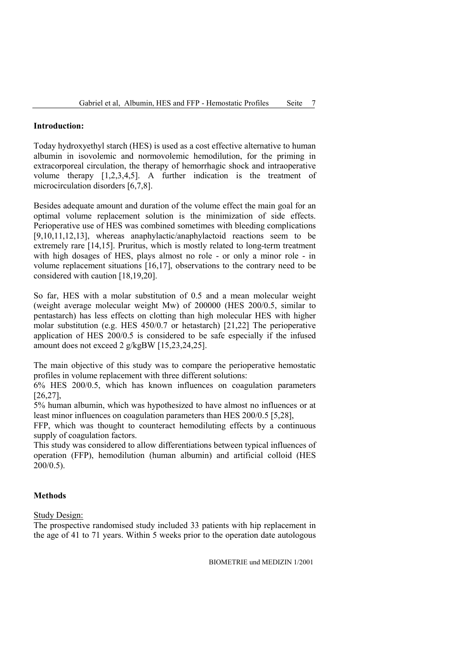## **Introduction:**

Today hydroxyethyl starch (HES) is used as a cost effective alternative to human albumin in isovolemic and normovolemic hemodilution, for the priming in extracorporeal circulation, the therapy of hemorrhagic shock and intraoperative volume therapy [1,2,3,4,5]. A further indication is the treatment of microcirculation disorders [6,7,8].

Besides adequate amount and duration of the volume effect the main goal for an optimal volume replacement solution is the minimization of side effects. Perioperative use of HES was combined sometimes with bleeding complications [9,10,11,12,13], whereas anaphylactic/anaphylactoid reactions seem to be extremely rare [14,15]. Pruritus, which is mostly related to long-term treatment with high dosages of HES, plays almost no role - or only a minor role - in volume replacement situations [16,17], observations to the contrary need to be considered with caution [18,19,20].

So far, HES with a molar substitution of 0.5 and a mean molecular weight (weight average molecular weight Mw) of 200000 (HES 200/0.5, similar to pentastarch) has less effects on clotting than high molecular HES with higher molar substitution (e.g. HES 450/0.7 or hetastarch) [21,22] The perioperative application of HES 200/0.5 is considered to be safe especially if the infused amount does not exceed 2 g/kgBW [15,23,24,25].

The main objective of this study was to compare the perioperative hemostatic profiles in volume replacement with three different solutions:

6% HES 200/0.5, which has known influences on coagulation parameters [26,27],

5% human albumin, which was hypothesized to have almost no influences or at least minor influences on coagulation parameters than HES 200/0.5 [5,28],

FFP, which was thought to counteract hemodiluting effects by a continuous supply of coagulation factors.

This study was considered to allow differentiations between typical influences of operation (FFP), hemodilution (human albumin) and artificial colloid (HES 200/0.5).

## **Methods**

## Study Design:

The prospective randomised study included 33 patients with hip replacement in the age of 41 to 71 years. Within 5 weeks prior to the operation date autologous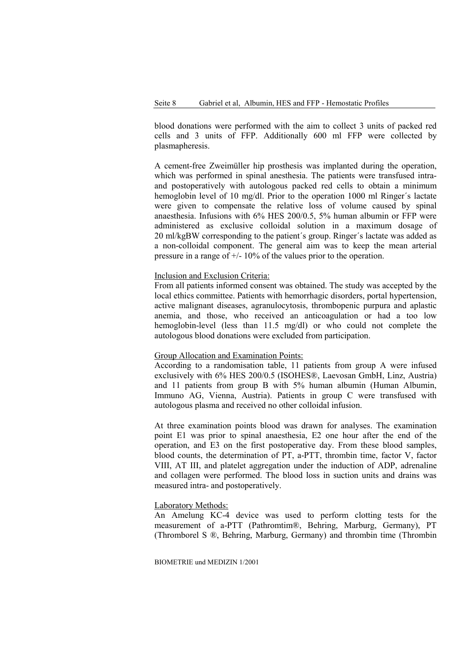blood donations were performed with the aim to collect 3 units of packed red cells and 3 units of FFP. Additionally 600 ml FFP were collected by plasmapheresis.

A cement-free Zweimüller hip prosthesis was implanted during the operation, which was performed in spinal anesthesia. The patients were transfused intraand postoperatively with autologous packed red cells to obtain a minimum hemoglobin level of 10 mg/dl. Prior to the operation 1000 ml Ringer's lactate were given to compensate the relative loss of volume caused by spinal anaesthesia. Infusions with 6% HES 200/0.5, 5% human albumin or FFP were administered as exclusive colloidal solution in a maximum dosage of 20 ml/kgBW corresponding to the patient´s group. Ringer´s lactate was added as a non-colloidal component. The general aim was to keep the mean arterial pressure in a range of  $+/- 10\%$  of the values prior to the operation.

#### Inclusion and Exclusion Criteria:

From all patients informed consent was obtained. The study was accepted by the local ethics committee. Patients with hemorrhagic disorders, portal hypertension, active malignant diseases, agranulocytosis, thrombopenic purpura and aplastic anemia, and those, who received an anticoagulation or had a too low hemoglobin-level (less than 11.5 mg/dl) or who could not complete the autologous blood donations were excluded from participation.

#### Group Allocation and Examination Points:

According to a randomisation table, 11 patients from group A were infused exclusively with 6% HES 200/0.5 (ISOHES®, Laevosan GmbH, Linz, Austria) and 11 patients from group B with 5% human albumin (Human Albumin, Immuno AG, Vienna, Austria). Patients in group C were transfused with autologous plasma and received no other colloidal infusion.

At three examination points blood was drawn for analyses. The examination point E1 was prior to spinal anaesthesia, E2 one hour after the end of the operation, and E3 on the first postoperative day. From these blood samples, blood counts, the determination of PT, a-PTT, thrombin time, factor V, factor VIII, AT III, and platelet aggregation under the induction of ADP, adrenaline and collagen were performed. The blood loss in suction units and drains was measured intra- and postoperatively.

#### Laboratory Methods:

An Amelung KC-4 device was used to perform clotting tests for the measurement of a-PTT (Pathromtim®, Behring, Marburg, Germany), PT (Thromborel S ®, Behring, Marburg, Germany) and thrombin time (Thrombin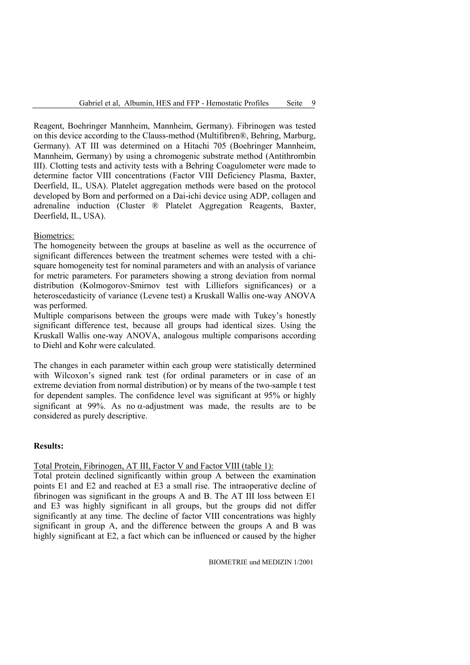Reagent, Boehringer Mannheim, Mannheim, Germany). Fibrinogen was tested on this device according to the Clauss-method (Multifibren®, Behring, Marburg, Germany). AT III was determined on a Hitachi 705 (Boehringer Mannheim, Mannheim, Germany) by using a chromogenic substrate method (Antithrombin III). Clotting tests and activity tests with a Behring Coagulometer were made to determine factor VIII concentrations (Factor VIII Deficiency Plasma, Baxter, Deerfield, IL, USA). Platelet aggregation methods were based on the protocol developed by Born and performed on a Dai-ichi device using ADP, collagen and adrenaline induction (Cluster ® Platelet Aggregation Reagents, Baxter, Deerfield, IL, USA).

Biometrics:

The homogeneity between the groups at baseline as well as the occurrence of significant differences between the treatment schemes were tested with a chisquare homogeneity test for nominal parameters and with an analysis of variance for metric parameters. For parameters showing a strong deviation from normal distribution (Kolmogorov-Smirnov test with Lilliefors significances) or a heteroscedasticity of variance (Levene test) a Kruskall Wallis one-way ANOVA was performed.

Multiple comparisons between the groups were made with Tukey's honestly significant difference test, because all groups had identical sizes. Using the Kruskall Wallis one-way ANOVA, analogous multiple comparisons according to Diehl and Kohr were calculated.

The changes in each parameter within each group were statistically determined with Wilcoxon's signed rank test (for ordinal parameters or in case of an extreme deviation from normal distribution) or by means of the two-sample t test for dependent samples. The confidence level was significant at 95% or highly significant at 99%. As no  $\alpha$ -adjustment was made, the results are to be considered as purely descriptive.

## **Results:**

Total Protein, Fibrinogen, AT III, Factor V and Factor VIII (table 1):

Total protein declined significantly within group A between the examination points E1 and E2 and reached at E3 a small rise. The intraoperative decline of fibrinogen was significant in the groups A and B. The AT III loss between E1 and E3 was highly significant in all groups, but the groups did not differ significantly at any time. The decline of factor VIII concentrations was highly significant in group A, and the difference between the groups A and B was highly significant at E2, a fact which can be influenced or caused by the higher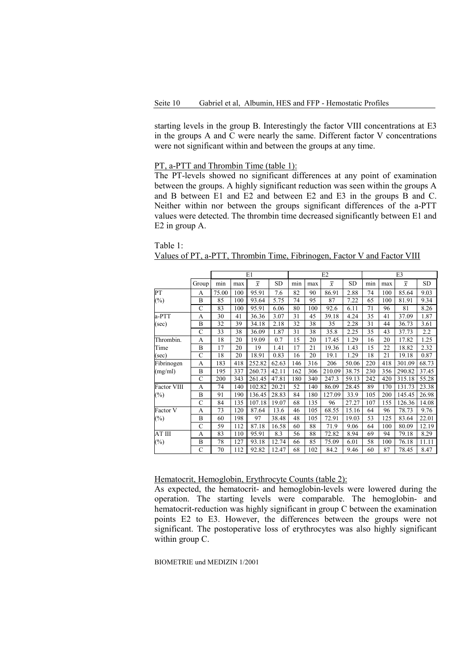starting levels in the group B. Interestingly the factor VIII concentrations at E3 in the groups A and C were nearly the same. Different factor V concentrations were not significant within and between the groups at any time.

#### PT, a-PTT and Thrombin Time (table 1):

The PT-levels showed no significant differences at any point of examination between the groups. A highly significant reduction was seen within the groups A and B between E1 and E2 and between E2 and E3 in the groups B and C. Neither within nor between the groups significant differences of the a-PTT values were detected. The thrombin time decreased significantly between E1 and E2 in group A.

# Table 1:<br>Velope of PT = PTT The

| Values Of F1, a-P11, Thromom Thine, Florinogen, Factor V and Factor VIII |  |  |
|--------------------------------------------------------------------------|--|--|
|                                                                          |  |  |
|                                                                          |  |  |

 $V$ artin Time, Fibrinogen, Fibrinogen, Fibrinogen,  $V$  and  $F$ 

|                    |                | E1    |     |                |       |     |     | E2             |       | E3  |     |                |           |
|--------------------|----------------|-------|-----|----------------|-------|-----|-----|----------------|-------|-----|-----|----------------|-----------|
|                    | Group          | min   | max | $\overline{x}$ | SD    | min | max | $\overline{x}$ | SD    | min | max | $\overline{x}$ | <b>SD</b> |
| PT                 | A              | 75.00 | 100 | 95.91          | 7.6   | 82  | 90  | 86.91          | 2.88  | 74  | 100 | 85.64          | 9.03      |
| $(\%)$             | B              | 85    | 100 | 93.64          | 5.75  | 74  | 95  | 87             | 7.22  | 65  | 100 | 81.91          | 9.34      |
|                    | $\mathcal{C}$  | 83    | 100 | 95.91          | 6.06  | 80  | 100 | 92.6           | 6.11  | 71  | 96  | 81             | 8.26      |
| a-PTT              | A              | 30    | 41  | 36.36          | 3.07  | 31  | 45  | 39.18          | 4.24  | 35  | 41  | 37.09          | 1.87      |
| (sec)              | B              | 32    | 39  | 34.18          | 2.18  | 32  | 38  | 35             | 2.28  | 31  | 44  | 36.73          | 3.61      |
|                    | $\overline{C}$ | 33    | 38  | 36.09          | 1.87  | 31  | 38  | 35.8           | 2.25  | 35  | 43  | 37.73          | 2.2       |
| Thrombin.          | A              | 18    | 20  | 19.09          | 0.7   | 15  | 20  | 17.45          | 1.29  | 16  | 20  | 17.82          | 1.25      |
| Time               | B              | 17    | 20  | 19             | 1.41  | 17  | 21  | 19.36          | 1.43  | 15  | 22  | 18.82          | 2.32      |
| (sec)              | $\overline{C}$ | 18    | 20  | 18.91          | 0.83  | 16  | 20  | 19.1           | 1.29  | 18  | 21  | 19.18          | 0.87      |
| Fibrinogen         | A              | 183   | 418 | 252.82         | 62.63 | 146 | 316 | 206            | 50.06 | 220 | 418 | 301.09         | 68.73     |
| (mg/ml)            | B              | 195   | 337 | 260.73         | 42.11 | 162 | 306 | 210.09         | 38.75 | 230 | 356 | 290.82         | 37.45     |
|                    | $\mathcal{C}$  | 200   | 343 | 261.45         | 47.81 | 180 | 340 | 247.3          | 59.13 | 242 | 420 | 315.18         | 55.28     |
| <b>Factor VIII</b> | A              | 74    | 140 | 102.82         | 20.21 | 52  | 140 | 86.09          | 28.45 | 89  | 170 | 131.73         | 23.38     |
| $(\%)$             | B              | 91    | 190 | 136.45         | 28.83 | 84  | 180 | 127.09         | 33.9  | 105 | 200 | 145.45         | 26.98     |
|                    | $\overline{C}$ | 84    | 135 | 107.18         | 19.07 | 68  | 135 | 96             | 27.27 | 107 | 155 | 126.36         | 14.08     |
| Factor V           | A              | 73    | 120 | 87.64          | 13.6  | 46  | 105 | 68.55          | 15.16 | 64  | 96  | 78.73          | 9.76      |
| $(\%)$             | B              | 60    | 198 | 97             | 38.48 | 48  | 105 | 72.91          | 19.03 | 53  | 125 | 83.64          | 22.01     |
|                    | $\overline{C}$ | 59    | 112 | 87.18          | 16.58 | 60  | 88  | 71.9           | 9.06  | 64  | 100 | 80.09          | 12.19     |
| AT III             | A              | 83    | 110 | 95.91          | 8.3   | 56  | 88  | 72.82          | 8.94  | 69  | 94  | 79.18          | 8.29      |
| $(\%)$             | B              | 78    | 127 | 93.18          | 12.74 | 66  | 85  | 75.09          | 6.01  | 58  | 100 | 76.18          | 11.11     |
|                    | $\overline{C}$ | 70    | 112 | 92.82          | 12.47 | 68  | 102 | 84.2           | 9.46  | 60  | 87  | 78.45          | 8.47      |

Hematocrit, Hemoglobin, Erythrocyte Counts (table 2):

As expected, the hematocrit- and hemoglobin-levels were lowered during the operation. The starting levels were comparable. The hemoglobin- and hematocrit-reduction was highly significant in group C between the examination points E2 to E3. However, the differences between the groups were not significant. The postoperative loss of erythrocytes was also highly significant within group C.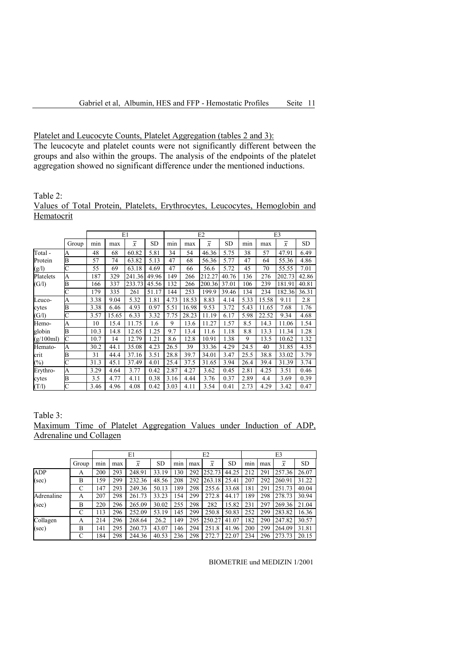Platelet and Leucocyte Counts, Platelet Aggregation (tables 2 and 3):

The leucocyte and platelet counts were not significantly different between the groups and also within the groups. The analysis of the endpoints of the platelet aggregation showed no significant difference under the mentioned inductions.

#### Table 2: Values of Total Protein, Platelets, Erythrocytes, Leucocytes, Hemoglobin and Hematocrit

|           |       |      | E1    |                |       |      |       | E2             |       | E3   |       |                |           |
|-----------|-------|------|-------|----------------|-------|------|-------|----------------|-------|------|-------|----------------|-----------|
|           | Group | min  | max   | $\overline{x}$ | SD    | min  | max   | $\overline{x}$ | SD    | min  | max   | $\overline{x}$ | <b>SD</b> |
| Total-    | A     | 48   | 68    | 60.82          | 5.81  | 34   | 54    | 46.36          | 5.75  | 38   | 57    | 47.91          | 6.49      |
| Protein   | B     | 57   | 74    | 63.82          | 5.13  | 47   | 68    | 56.36          | 5.77  | 47   | 64    | 55.36          | 4.86      |
| (g/l)     | C     | 55   | 69    | 63.18          | 4.69  | 47   | 66    | 56.6           | 5.72  | 45   | 70    | 55.55          | 7.01      |
| Platelets | А     | 187  | 329   | 241.36         | 49.96 | 149  | 266   | 212.27         | 40.76 | 136  | 276   | 202.73         | 42.86     |
| (G/I)     | B     | 166  | 337   | 233.73         | 45.56 | 132  | 266   | 200.36         | 37.01 | 106  | 239   | 181.91         | 40.81     |
|           | Ć     | 179  | 335   | 261            | 51.17 | 144  | 253   | 199.9          | 39.46 | 134  | 234   | 182.36         | 36.31     |
| Leuco-    | A     | 3.38 | 9.04  | 5.32           | 1.81  | 4.73 | 18.53 | 8.83           | 4.14  | 5.33 | 15.58 | 9.11           | 2.8       |
| cytes     | В     | 3.38 | 6.46  | 4.93           | 0.97  | 5.51 | 16.98 | 9.53           | 3.72  | 5.43 | 11.65 | 7.68           | 1.76      |
| (G/I)     | С     | 3.57 | 15.65 | 6.33           | 3.32  | 7.75 | 28.23 | 11.19          | 6.17  | 5.98 | 22.52 | 9.34           | 4.68      |
| Hemo-     | А     | 10   | 15.4  | 11.75          | 1.6   | 9    | 13.6  | 11.27          | 1.57  | 8.5  | 14.3  | 11.06          | 1.54      |
| globin    | B     | 10.3 | 14.8  | 12.65          | 1.25  | 9.7  | 13.4  | 11.6           | 1.18  | 8.8  | 13.3  | 11.34          | 1.28      |
| (g/100ml) | Ċ     | 10.7 | 14    | 12.79          | 1.21  | 8.6  | 12.8  | 10.91          | 1.38  | 9    | 13.5  | 10.62          | 1.32      |
| Hemato-   | A     | 30.2 | 44.1  | 35.08          | 4.23  | 26.5 | 39    | 33.36          | 4.29  | 24.5 | 40    | 31.85          | 4.35      |
| crit      | B     | 31   | 44.4  | 37.16          | 3.51  | 28.8 | 39.7  | 34.01          | 3.47  | 25.5 | 38.8  | 33.02          | 3.79      |
| $(\%)$    | С     | 31.3 | 45.1  | 37.49          | 4.01  | 25.4 | 37.5  | 31.65          | 3.94  | 26.4 | 39.4  | 31.39          | 3.74      |
| Erythro-  | A     | 3.29 | 4.64  | 3.77           | 0.42  | 2.87 | 4.27  | 3.62           | 0.45  | 2.81 | 4.25  | 3.51           | 0.46      |
| cytes     | B     | 3.5  | 4.77  | 4.11           | 0.38  | 3.16 | 4.44  | 3.76           | 0.37  | 2.89 | 4.4   | 3.69           | 0.39      |
| (T/I)     | Ċ     | 3.46 | 4.96  | 4.08           | 0.42  | 3.03 | 4.11  | 3.54           | 0.41  | 2.73 | 4.29  | 3.42           | 0.47      |

#### Table 3:

Maximum Time of Platelet Aggregation Values under Induction of ADP, Adrenaline und Collagen

|            |       | E1  |     |                |           | E2  |     |        |       | E3  |     |        |           |
|------------|-------|-----|-----|----------------|-----------|-----|-----|--------|-------|-----|-----|--------|-----------|
|            | Group | mın | max | $\overline{x}$ | <b>SD</b> | min | max | x      | SD    | min | max | x      | <b>SD</b> |
| <b>ADP</b> | А     | 200 | 293 | 248.91         | 33.19     | 130 | 292 | 252.73 | 44.25 | 212 | 291 | 257.36 | 26.07     |
| (sec)      | B     | 159 | 299 | 232.36         | 48.56     | 208 | 292 | 263.18 | 25.41 | 207 | 292 | 260.91 | 31.22     |
|            |       | 147 | 293 | 249.36         | 50.13     | 189 | 298 | 255.6  | 33.68 | 181 | 291 | 251.73 | 40.04     |
| Adrenaline | А     | 207 | 298 | 261.73         | 33.23     | 154 | 299 | 272.8  | 44.17 | 189 | 298 | 278.73 | 30.94     |
| (sec)      | B     | 220 | 296 | 265.09         | 30.02     | 255 | 298 | 282    | 15.82 | 231 | 297 | 269.36 | 21.04     |
|            |       | 113 | 296 | 252.09         | 53.19     | 145 | 299 | 250.8  | 50.83 | 252 | 299 | 283.82 | 16.36     |
| Collagen   | А     | 214 | 296 | 268.64         | 26.2      | 149 | 295 | 250.27 | 41.07 | 182 | 290 | 247.82 | 30.57     |
| (sec)      | B     | 141 | 295 | 260.73         | 43.07     | 146 | 294 | 251.8  | 41.96 | 200 | 299 | 264.09 | 31.81     |
|            |       | 184 | 298 | 244.36         | 40.53     | 236 | 298 | 272.7  | 22.07 | 234 | 296 | 273.73 | 20.15     |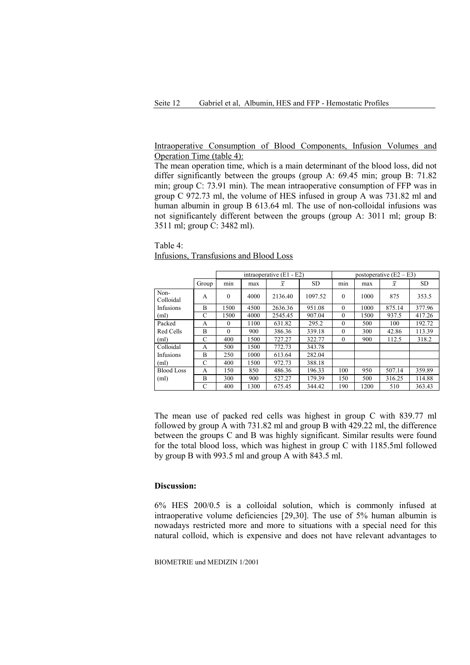Intraoperative Consumption of Blood Components, Infusion Volumes and Operation Time (table 4):

The mean operation time, which is a main determinant of the blood loss, did not differ significantly between the groups (group A: 69.45 min; group B: 71.82) min; group C: 73.91 min). The mean intraoperative consumption of FFP was in group C 972.73 ml, the volume of HES infused in group A was 731.82 ml and human albumin in group B 613.64 ml. The use of non-colloidal infusions was not significantely different between the groups (group A: 3011 ml; group B: 3511 ml; group C: 3482 ml).

#### Table 4:

|                   |       |          |      | intraoperative $(E1 - E2)$ |           | postoperative $(E2 - E3)$ |      |              |           |  |  |  |
|-------------------|-------|----------|------|----------------------------|-----------|---------------------------|------|--------------|-----------|--|--|--|
|                   | Group | min      | max  | x                          | <b>SD</b> | min                       | max  | $\mathbf{x}$ | <b>SD</b> |  |  |  |
| Non-<br>Colloidal | A     | $\theta$ | 4000 | 2136.40                    | 1097.52   | $\theta$                  | 1000 | 875          | 353.5     |  |  |  |
| Infusions         | B     | 1500     | 4500 | 2636.36                    | 951.08    | $\Omega$                  | 1000 | 875.14       | 377.96    |  |  |  |
| (ml)              | C     | 1500     | 4000 | 2545.45                    | 907.04    | $\theta$                  | 1500 | 937.5        | 417.26    |  |  |  |
| Packed            | A     | $\theta$ | 1100 | 631.82                     | 295.2     | $\theta$                  | 500  | 100          | 192.72    |  |  |  |
| Red Cells         | B     | $\Omega$ | 900  | 386.36                     | 339.18    | $\theta$                  | 300  | 42.86        | 113.39    |  |  |  |
| (ml)              | C     | 400      | 1500 | 727.27                     | 322.77    | $\theta$                  | 900  | 112.5        | 318.2     |  |  |  |
| Colloidal         | A     | 500      | 1500 | 772.73                     | 343.78    |                           |      |              |           |  |  |  |
| Infusions         | B     | 250      | 1000 | 613.64                     | 282.04    |                           |      |              |           |  |  |  |
| (ml)              | C     | 400      | 1500 | 972.73                     | 388.18    |                           |      |              |           |  |  |  |
| <b>Blood Loss</b> | A     | 150      | 850  | 486.36                     | 196.33    | 100                       | 950  | 507.14       | 359.89    |  |  |  |
| (ml)              | B     | 300      | 900  | 527.27                     | 179.39    | 150                       | 500  | 316.25       | 114.88    |  |  |  |
|                   | C     | 400      | 1300 | 675.45                     | 344.42    | 190                       | 1200 | 510          | 363.43    |  |  |  |

Infusions, Transfusions and Blood Loss

The mean use of packed red cells was highest in group C with 839.77 ml followed by group A with 731.82 ml and group B with 429.22 ml, the difference between the groups C and B was highly significant. Similar results were found for the total blood loss, which was highest in group C with 1185.5ml followed by group B with 993.5 ml and group A with 843.5 ml.

#### **Discussion:**

6% HES 200/0.5 is a colloidal solution, which is commonly infused at intraoperative volume deficiencies [29,30]. The use of 5% human albumin is nowadays restricted more and more to situations with a special need for this natural colloid, which is expensive and does not have relevant advantages to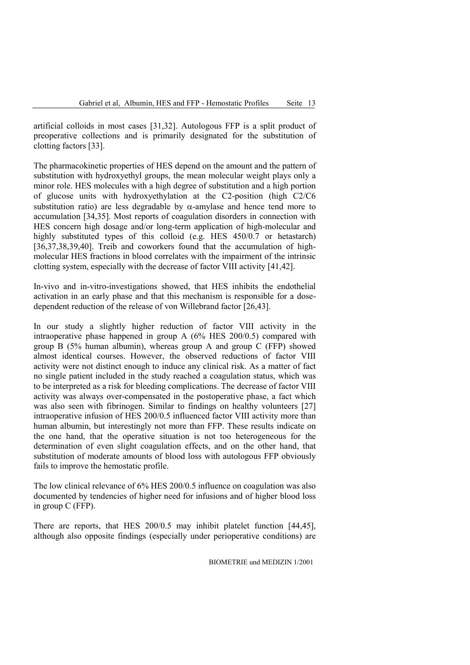artificial colloids in most cases [31,32]. Autologous FFP is a split product of preoperative collections and is primarily designated for the substitution of clotting factors [33].

The pharmacokinetic properties of HES depend on the amount and the pattern of substitution with hydroxyethyl groups, the mean molecular weight plays only a minor role. HES molecules with a high degree of substitution and a high portion of glucose units with hydroxyethylation at the C2-position (high C2/C6 substitution ratio) are less degradable by  $\alpha$ -amylase and hence tend more to accumulation [34,35]. Most reports of coagulation disorders in connection with HES concern high dosage and/or long-term application of high-molecular and highly substituted types of this colloid (e.g. HES 450/0.7 or hetastarch) [36,37,38,39,40]. Treib and coworkers found that the accumulation of highmolecular HES fractions in blood correlates with the impairment of the intrinsic clotting system, especially with the decrease of factor VIII activity [41,42].

In-vivo and in-vitro-investigations showed, that HES inhibits the endothelial activation in an early phase and that this mechanism is responsible for a dosedependent reduction of the release of von Willebrand factor [26,43].

In our study a slightly higher reduction of factor VIII activity in the intraoperative phase happened in group A (6% HES 200/0.5) compared with group B (5% human albumin), whereas group A and group C (FFP) showed almost identical courses. However, the observed reductions of factor VIII activity were not distinct enough to induce any clinical risk. As a matter of fact no single patient included in the study reached a coagulation status, which was to be interpreted as a risk for bleeding complications. The decrease of factor VIII activity was always over-compensated in the postoperative phase, a fact which was also seen with fibrinogen. Similar to findings on healthy volunteers [27] intraoperative infusion of HES 200/0.5 influenced factor VIII activity more than human albumin, but interestingly not more than FFP. These results indicate on the one hand, that the operative situation is not too heterogeneous for the determination of even slight coagulation effects, and on the other hand, that substitution of moderate amounts of blood loss with autologous FFP obviously fails to improve the hemostatic profile.

The low clinical relevance of 6% HES 200/0.5 influence on coagulation was also documented by tendencies of higher need for infusions and of higher blood loss in group C (FFP).

There are reports, that HES 200/0.5 may inhibit platelet function [44,45], although also opposite findings (especially under perioperative conditions) are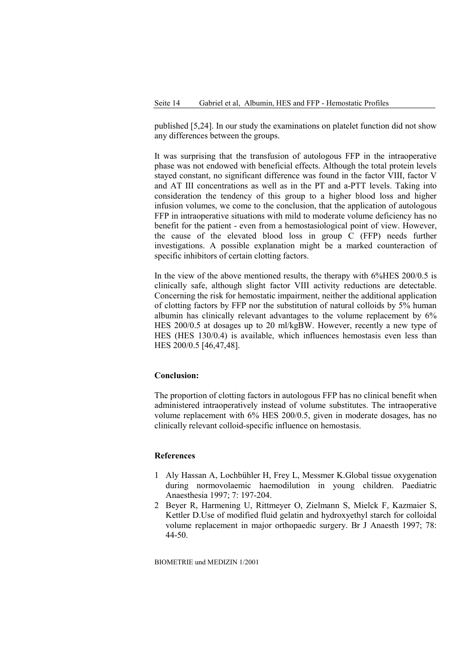published [5,24]. In our study the examinations on platelet function did not show any differences between the groups.

It was surprising that the transfusion of autologous FFP in the intraoperative phase was not endowed with beneficial effects. Although the total protein levels stayed constant, no significant difference was found in the factor VIII, factor V and AT III concentrations as well as in the PT and a-PTT levels. Taking into consideration the tendency of this group to a higher blood loss and higher infusion volumes, we come to the conclusion, that the application of autologous FFP in intraoperative situations with mild to moderate volume deficiency has no benefit for the patient - even from a hemostasiological point of view. However, the cause of the elevated blood loss in group C (FFP) needs further investigations. A possible explanation might be a marked counteraction of specific inhibitors of certain clotting factors.

In the view of the above mentioned results, the therapy with 6%HES 200/0.5 is clinically safe, although slight factor VIII activity reductions are detectable. Concerning the risk for hemostatic impairment, neither the additional application of clotting factors by FFP nor the substitution of natural colloids by 5% human albumin has clinically relevant advantages to the volume replacement by 6% HES 200/0.5 at dosages up to 20 ml/kgBW. However, recently a new type of HES (HES 130/0.4) is available, which influences hemostasis even less than HES 200/0.5 [46,47,48].

#### **Conclusion:**

The proportion of clotting factors in autologous FFP has no clinical benefit when administered intraoperatively instead of volume substitutes. The intraoperative volume replacement with 6% HES 200/0.5, given in moderate dosages, has no clinically relevant colloid-specific influence on hemostasis.

## **References**

- 1 Aly Hassan A, Lochbühler H, Frey L, Messmer K.Global tissue oxygenation during normovolaemic haemodilution in young children. Paediatric Anaesthesia 1997; 7: 197-204.
- 2 Beyer R, Harmening U, Rittmeyer O, Zielmann S, Mielck F, Kazmaier S, Kettler D.Use of modified fluid gelatin and hydroxyethyl starch for colloidal volume replacement in major orthopaedic surgery. Br J Anaesth 1997; 78: 44-50.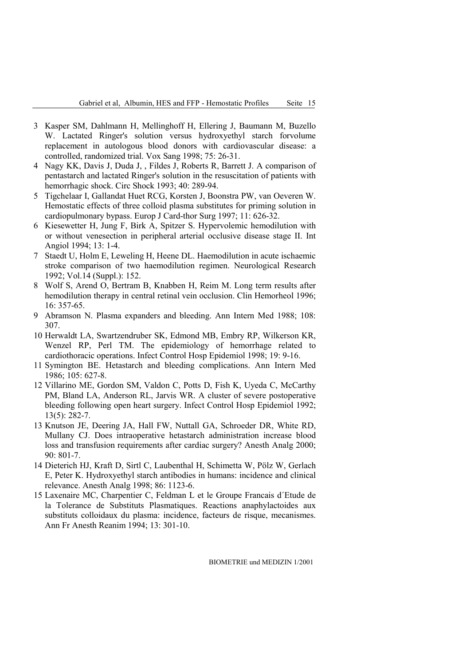- 3 Kasper SM, Dahlmann H, Mellinghoff H, Ellering J, Baumann M, Buzello W. Lactated Ringer's solution versus hydroxyethyl starch forvolume replacement in autologous blood donors with cardiovascular disease: a controlled, randomized trial. Vox Sang 1998; 75: 26-31.
- 4 Nagy KK, Davis J, Duda J, , Fildes J, Roberts R, Barrett J. A comparison of pentastarch and lactated Ringer's solution in the resuscitation of patients with hemorrhagic shock. Circ Shock 1993; 40: 289-94.
- 5 Tigchelaar I, Gallandat Huet RCG, Korsten J, Boonstra PW, van Oeveren W. Hemostatic effects of three colloid plasma substitutes for priming solution in cardiopulmonary bypass. Europ J Card-thor Surg 1997; 11: 626-32.
- 6 Kiesewetter H, Jung F, Birk A, Spitzer S. Hypervolemic hemodilution with or without venesection in peripheral arterial occlusive disease stage II. Int Angiol 1994; 13: 1-4.
- 7 Staedt U, Holm E, Leweling H, Heene DL. Haemodilution in acute ischaemic stroke comparison of two haemodilution regimen. Neurological Research 1992; Vol.14 (Suppl.): 152.
- 8 Wolf S, Arend O, Bertram B, Knabben H, Reim M. Long term results after hemodilution therapy in central retinal vein occlusion. Clin Hemorheol 1996; 16: 357-65.
- 9 Abramson N. Plasma expanders and bleeding. Ann Intern Med 1988; 108: 307.
- 10 Herwaldt LA, Swartzendruber SK, Edmond MB, Embry RP, Wilkerson KR, Wenzel RP, Perl TM. The epidemiology of hemorrhage related to cardiothoracic operations. Infect Control Hosp Epidemiol 1998; 19: 9-16.
- 11 Symington BE. Hetastarch and bleeding complications. Ann Intern Med 1986; 105: 627-8.
- 12 Villarino ME, Gordon SM, Valdon C, Potts D, Fish K, Uyeda C, McCarthy PM, Bland LA, Anderson RL, Jarvis WR. A cluster of severe postoperative bleeding following open heart surgery. Infect Control Hosp Epidemiol 1992; 13(5): 282-7.
- 13 Knutson JE, Deering JA, Hall FW, Nuttall GA, Schroeder DR, White RD, Mullany CJ. Does intraoperative hetastarch administration increase blood loss and transfusion requirements after cardiac surgery? Anesth Analg 2000; 90: 801-7.
- 14 Dieterich HJ, Kraft D, Sirtl C, Laubenthal H, Schimetta W, Pölz W, Gerlach E, Peter K. Hydroxyethyl starch antibodies in humans: incidence and clinical relevance. Anesth Analg 1998; 86: 1123-6.
- 15 Laxenaire MC, Charpentier C, Feldman L et le Groupe Francais d´Etude de la Tolerance de Substituts Plasmatiques. Reactions anaphylactoides aux substituts colloidaux du plasma: incidence, facteurs de risque, mecanismes. Ann Fr Anesth Reanim 1994; 13: 301-10.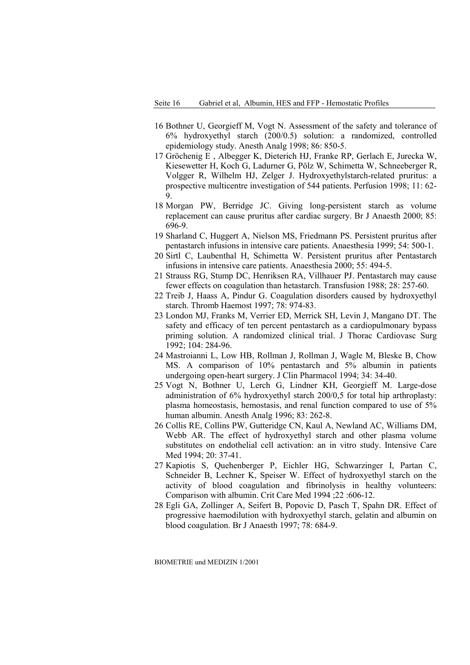- 16 Bothner U, Georgieff M, Vogt N. Assessment of the safety and tolerance of 6% hydroxyethyl starch (200/0.5) solution: a randomized, controlled epidemiology study. Anesth Analg 1998; 86: 850-5.
- 17 Gröchenig E , Albegger K, Dieterich HJ, Franke RP, Gerlach E, Jurecka W, Kiesewetter H, Koch G, Ladurner G, Pölz W, Schimetta W, Schneeberger R, Volgger R, Wilhelm HJ, Zelger J. Hydroxyethylstarch-related pruritus: a prospective multicentre investigation of 544 patients. Perfusion 1998; 11: 62- 9.
- 18 Morgan PW, Berridge JC. Giving long-persistent starch as volume replacement can cause pruritus after cardiac surgery. Br J Anaesth 2000; 85: 696-9.
- 19 Sharland C, Huggert A, Nielson MS, Friedmann PS. Persistent pruritus after pentastarch infusions in intensive care patients. Anaesthesia 1999; 54: 500-1.
- 20 Sirtl C, Laubenthal H, Schimetta W. Persistent pruritus after Pentastarch infusions in intensive care patients. Anaesthesia 2000; 55: 494-5.
- 21 Strauss RG, Stump DC, Henriksen RA, Villhauer PJ. Pentastarch may cause fewer effects on coagulation than hetastarch. Transfusion 1988; 28: 257-60.
- 22 Treib J, Haass A, Pindur G. Coagulation disorders caused by hydroxyethyl starch. Thromb Haemost 1997; 78: 974-83.
- 23 London MJ, Franks M, Verrier ED, Merrick SH, Levin J, Mangano DT. The safety and efficacy of ten percent pentastarch as a cardiopulmonary bypass priming solution. A randomized clinical trial. J Thorac Cardiovasc Surg 1992; 104: 284-96.
- 24 Mastroianni L, Low HB, Rollman J, Rollman J, Wagle M, Bleske B, Chow MS. A comparison of 10% pentastarch and 5% albumin in patients undergoing open-heart surgery. J Clin Pharmacol 1994; 34: 34-40.
- 25 Vogt N, Bothner U, Lerch G, Lindner KH, Georgieff M. Large-dose administration of 6% hydroxyethyl starch 200/0,5 for total hip arthroplasty: plasma homeostasis, hemostasis, and renal function compared to use of 5% human albumin. Anesth Analg 1996; 83: 262-8.
- 26 Collis RE, Collins PW, Gutteridge CN, Kaul A, Newland AC, Williams DM, Webb AR. The effect of hydroxyethyl starch and other plasma volume substitutes on endothelial cell activation: an in vitro study. Intensive Care Med 1994; 20: 37-41.
- 27 Kapiotis S, Quehenberger P, Eichler HG, Schwarzinger I, Partan C, Schneider B, Lechner K, Speiser W. Effect of hydroxyethyl starch on the activity of blood coagulation and fibrinolysis in healthy volunteers: Comparison with albumin. Crit Care Med 1994 ;22 :606-12.
- 28 Egli GA, Zollinger A, Seifert B, Popovic D, Pasch T, Spahn DR. Effect of progressive haemodilution with hydroxyethyl starch, gelatin and albumin on blood coagulation. Br J Anaesth 1997; 78: 684-9.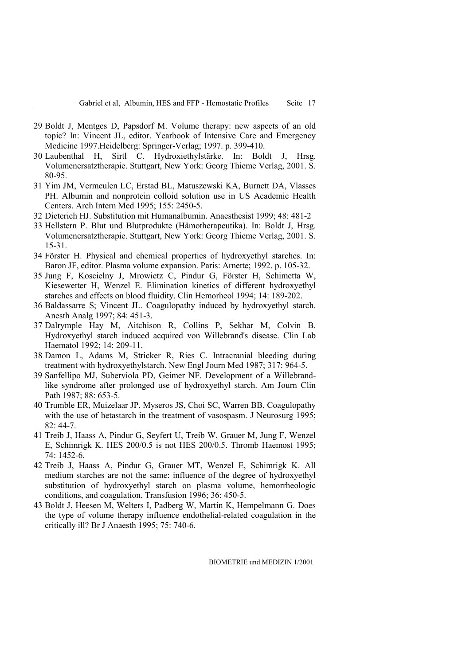- 29 Boldt J, Mentges D, Papsdorf M. Volume therapy: new aspects of an old topic? In: Vincent JL, editor. Yearbook of Intensive Care and Emergency Medicine 1997.Heidelberg: Springer-Verlag; 1997. p. 399-410.
- 30 Laubenthal H, Sirtl C. Hydroxiethylstärke. In: Boldt J, Hrsg. Volumenersatztherapie. Stuttgart, New York: Georg Thieme Verlag, 2001. S. 80-95.
- 31 Yim JM, Vermeulen LC, Erstad BL, Matuszewski KA, Burnett DA, Vlasses PH. Albumin and nonprotein colloid solution use in US Academic Health Centers. Arch Intern Med 1995; 155: 2450-5.
- 32 Dieterich HJ. Substitution mit Humanalbumin. Anaesthesist 1999; 48: 481-2
- 33 Hellstern P. Blut und Blutprodukte (Hämotherapeutika). In: Boldt J, Hrsg. Volumenersatztherapie. Stuttgart, New York: Georg Thieme Verlag, 2001. S. 15-31.
- 34 Förster H. Physical and chemical properties of hydroxyethyl starches. In: Baron JF, editor. Plasma volume expansion. Paris: Arnette; 1992. p. 105-32.
- 35 Jung F, Koscielny J, Mrowietz C, Pindur G, Förster H, Schimetta W, Kiesewetter H, Wenzel E. Elimination kinetics of different hydroxyethyl starches and effects on blood fluidity. Clin Hemorheol 1994; 14: 189-202.
- 36 Baldassarre S; Vincent JL. Coagulopathy induced by hydroxyethyl starch. Anesth Analg 1997; 84: 451-3.
- 37 Dalrymple Hay M, Aitchison R, Collins P, Sekhar M, Colvin B. Hydroxyethyl starch induced acquired von Willebrand's disease. Clin Lab Haematol 1992; 14: 209-11.
- 38 Damon L, Adams M, Stricker R, Ries C. Intracranial bleeding during treatment with hydroxyethylstarch. New Engl Journ Med 1987; 317: 964-5.
- 39 Sanfellipo MJ, Suberviola PD, Geimer NF. Development of a Willebrandlike syndrome after prolonged use of hydroxyethyl starch. Am Journ Clin Path 1987; 88: 653-5.
- 40 Trumble ER, Muizelaar JP, Myseros JS, Choi SC, Warren BB. Coagulopathy with the use of hetastarch in the treatment of vasospasm. J Neurosurg 1995: 82: 44-7.
- 41 Treib J, Haass A, Pindur G, Seyfert U, Treib W, Grauer M, Jung F, Wenzel E, Schimrigk K. HES 200/0.5 is not HES 200/0.5. Thromb Haemost 1995; 74: 1452-6.
- 42 Treib J, Haass A, Pindur G, Grauer MT, Wenzel E, Schimrigk K. All medium starches are not the same: influence of the degree of hydroxyethyl substitution of hydroxyethyl starch on plasma volume, hemorrheologic conditions, and coagulation. Transfusion 1996; 36: 450-5.
- 43 Boldt J, Heesen M, Welters I, Padberg W, Martin K, Hempelmann G. Does the type of volume therapy influence endothelial-related coagulation in the critically ill? Br J Anaesth 1995; 75: 740-6.